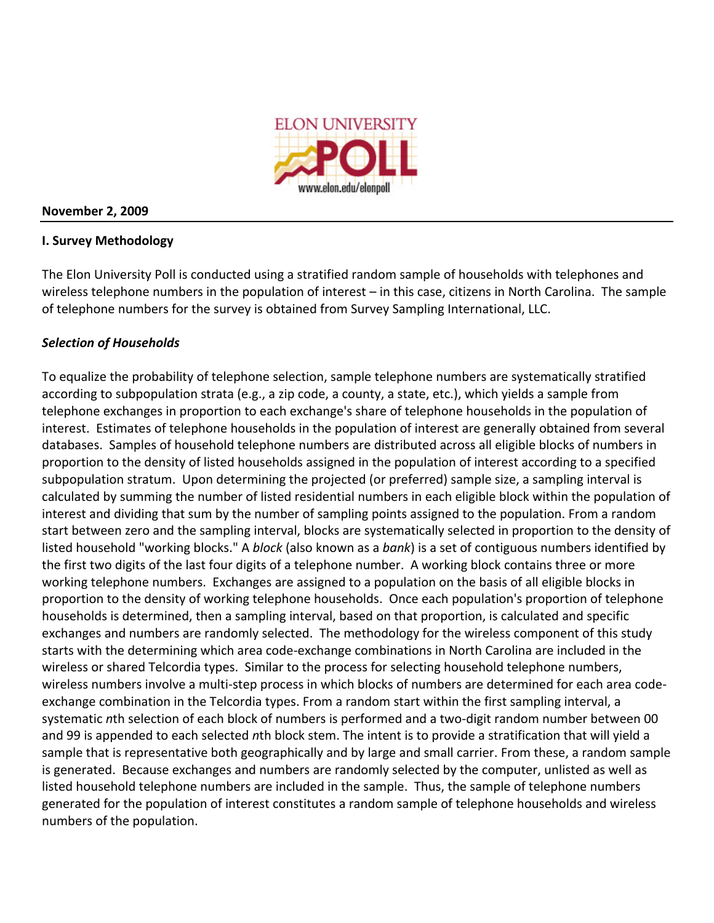

### **November
2,
2009**

# **I.
Survey
Methodology**

The Elon University Poll is conducted using a stratified random sample of households with telephones and wireless telephone numbers in the population of interest – in this case, citizens in North Carolina. The sample of telephone numbers for the survey is obtained from Survey Sampling International, LLC.

# *Selection
of
Households*

To equalize the probability of telephone selection, sample telephone numbers are systematically stratified according to subpopulation strata (e.g., a zip code, a county, a state, etc.), which yields a sample from telephone exchanges in proportion to each exchange's share of telephone households in the population of interest. Estimates of telephone households in the population of interest are generally obtained from several databases. Samples of household telephone numbers are distributed across all eligible blocks of numbers in proportion to the density of listed households assigned in the population of interest according to a specified subpopulation stratum. Upon determining the projected (or preferred) sample size, a sampling interval is calculated
by
summing
the
number
of
listed
residential
numbers
in
each
eligible
block
within
the
population
of interest and dividing that sum by the number of sampling points assigned to the population. From a random start between zero and the sampling interval, blocks are systematically selected in proportion to the density of listed household "working blocks." A block (also known as a bank) is a set of contiguous numbers identified by the first two digits of the last four digits of a telephone number. A working block contains three or more working telephone numbers. Exchanges are assigned to a population on the basis of all eligible blocks in proportion
to
the
density
of
working
telephone
households.

Once
each
population's
proportion
of
telephone households is determined, then a sampling interval, based on that proportion, is calculated and specific exchanges and numbers are randomly selected. The methodology for the wireless component of this study starts with the determining which area code-exchange combinations in North Carolina are included in the wireless or shared Telcordia types. Similar to the process for selecting household telephone numbers, wireless numbers involve a multi-step process in which blocks of numbers are determined for each area codeexchange combination in the Telcordia types. From a random start within the first sampling interval, a systematic nth selection of each block of numbers is performed and a two-digit random number between 00 and 99 is appended to each selected nth block stem. The intent is to provide a stratification that will yield a sample that is representative both geographically and by large and small carrier. From these, a random sample is generated. Because exchanges and numbers are randomly selected by the computer, unlisted as well as listed household telephone numbers are included in the sample. Thus, the sample of telephone numbers generated for the population of interest constitutes a random sample of telephone households and wireless numbers
of
the
population.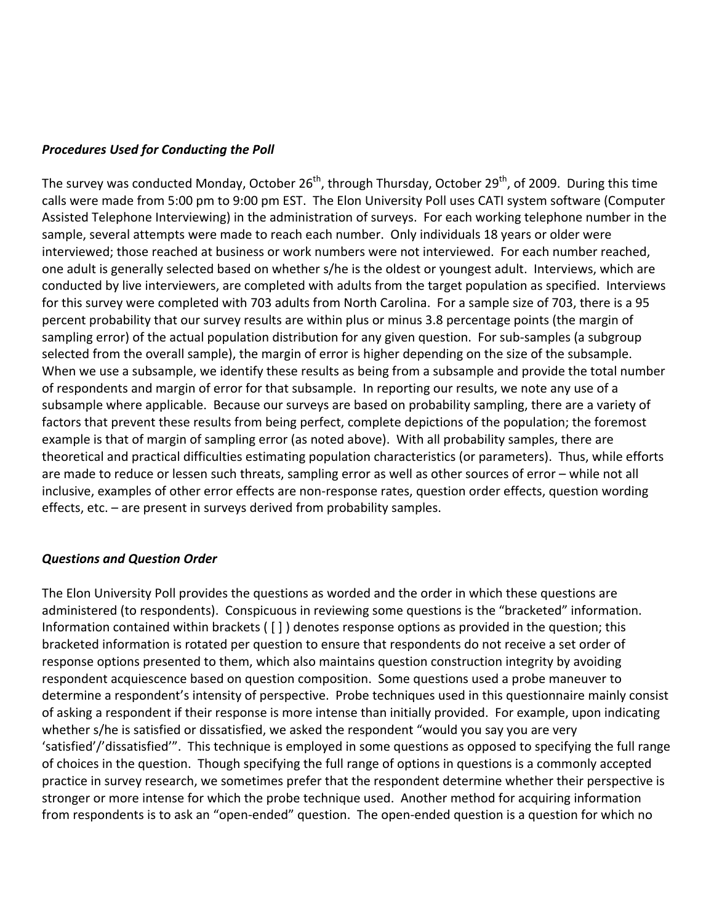### *Procedures
Used
for
Conducting
the
Poll*

The survey was conducted Monday, October 26<sup>th</sup>, through Thursday, October 29<sup>th</sup>, of 2009. During this time calls were made from 5:00 pm to 9:00 pm EST. The Elon University Poll uses CATI system software (Computer Assisted Telephone Interviewing) in the administration of surveys. For each working telephone number in the sample, several attempts were made to reach each number. Only individuals 18 years or older were interviewed; those reached at business or work numbers were not interviewed. For each number reached, one adult is generally selected based on whether s/he is the oldest or youngest adult. Interviews, which are conducted by live interviewers, are completed with adults from the target population as specified. Interviews for this survey were completed with 703 adults from North Carolina. For a sample size of 703, there is a 95 percent probability that our survey results are within plus or minus 3.8 percentage points (the margin of sampling error) of the actual population distribution for any given question. For sub-samples (a subgroup selected from the overall sample), the margin of error is higher depending on the size of the subsample. When we use a subsample, we identify these results as being from a subsample and provide the total number of respondents and margin of error for that subsample. In reporting our results, we note any use of a subsample where applicable. Because our surveys are based on probability sampling, there are a variety of factors that prevent these results from being perfect, complete depictions of the population; the foremost example is that of margin of sampling error (as noted above). With all probability samples, there are theoretical and practical difficulties estimating population characteristics (or parameters). Thus, while efforts are made to reduce or lessen such threats, sampling error as well as other sources of error - while not all inclusive, examples of other error effects are non-response rates, question order effects, question wording effects,
etc.
–
are
present
in
surveys
derived
from
probability
samples.

#### *Questions
and
Question
Order*

The Elon University Poll provides the questions as worded and the order in which these questions are administered (to respondents). Conspicuous in reviewing some questions is the "bracketed" information. Information contained within brackets ([]) denotes response options as provided in the question; this bracketed information is rotated per question to ensure that respondents do not receive a set order of response options presented to them, which also maintains question construction integrity by avoiding respondent acquiescence based on question composition. Some questions used a probe maneuver to determine a respondent's intensity of perspective. Probe techniques used in this questionnaire mainly consist of asking a respondent if their response is more intense than initially provided. For example, upon indicating whether s/he is satisfied or dissatisfied, we asked the respondent "would you say you are very 'satisfied'/'dissatisfied'". This technique is employed in some questions as opposed to specifying the full range of choices in the question. Though specifying the full range of options in questions is a commonly accepted practice in survey research, we sometimes prefer that the respondent determine whether their perspective is stronger or more intense for which the probe technique used. Another method for acquiring information from respondents is to ask an "open-ended" question. The open-ended question is a question for which no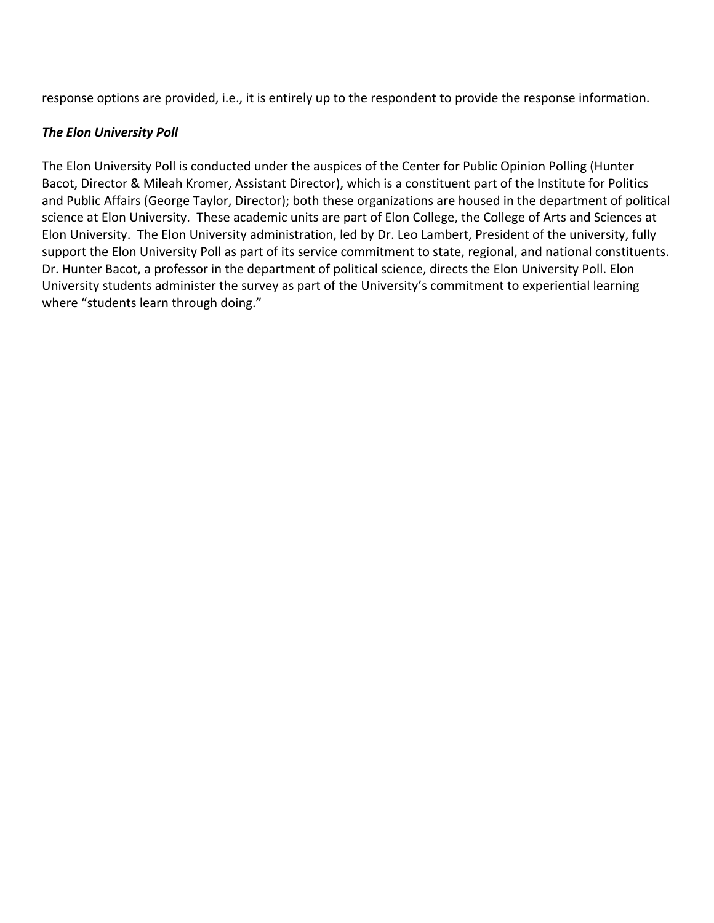response options are provided, i.e., it is entirely up to the respondent to provide the response information.

# *The
Elon
University
Poll*

The Elon University Poll is conducted under the auspices of the Center for Public Opinion Polling (Hunter Bacot, Director & Mileah Kromer, Assistant Director), which is a constituent part of the Institute for Politics and Public Affairs (George Taylor, Director); both these organizations are housed in the department of political science at Elon University. These academic units are part of Elon College, the College of Arts and Sciences at Elon University. The Elon University administration, led by Dr. Leo Lambert, President of the university, fully support the Elon University Poll as part of its service commitment to state, regional, and national constituents. Dr. Hunter Bacot, a professor in the department of political science, directs the Elon University Poll. Elon University students administer the survey as part of the University's commitment to experiential learning where "students learn through doing."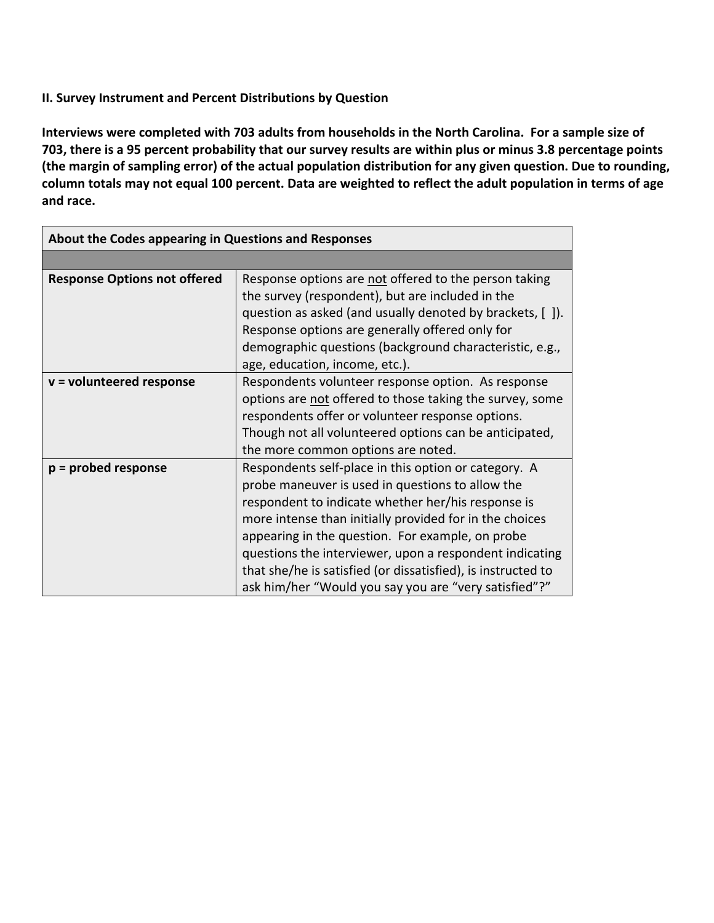# **II.
Survey
Instrument
and
Percent
Distributions
by
Question**

Interviews were completed with 703 adults from households in the North Carolina. For a sample size of 703, there is a 95 percent probability that our survey results are within plus or minus 3.8 percentage points (the margin of sampling error) of the actual population distribution for any given question. Due to rounding, column totals may not equal 100 percent. Data are weighted to reflect the adult population in terms of age **and
race.** 

| About the Codes appearing in Questions and Responses |                                                                                                                                                                                                                                                                                                                                                                                                                                                                   |  |
|------------------------------------------------------|-------------------------------------------------------------------------------------------------------------------------------------------------------------------------------------------------------------------------------------------------------------------------------------------------------------------------------------------------------------------------------------------------------------------------------------------------------------------|--|
|                                                      |                                                                                                                                                                                                                                                                                                                                                                                                                                                                   |  |
| <b>Response Options not offered</b>                  | Response options are not offered to the person taking<br>the survey (respondent), but are included in the<br>question as asked (and usually denoted by brackets, []).<br>Response options are generally offered only for                                                                                                                                                                                                                                          |  |
|                                                      | demographic questions (background characteristic, e.g.,<br>age, education, income, etc.).                                                                                                                                                                                                                                                                                                                                                                         |  |
| $v =$ volunteered response                           | Respondents volunteer response option. As response<br>options are not offered to those taking the survey, some<br>respondents offer or volunteer response options.<br>Though not all volunteered options can be anticipated,<br>the more common options are noted.                                                                                                                                                                                                |  |
| $p =$ probed response                                | Respondents self-place in this option or category. A<br>probe maneuver is used in questions to allow the<br>respondent to indicate whether her/his response is<br>more intense than initially provided for in the choices<br>appearing in the question. For example, on probe<br>questions the interviewer, upon a respondent indicating<br>that she/he is satisfied (or dissatisfied), is instructed to<br>ask him/her "Would you say you are "very satisfied"?" |  |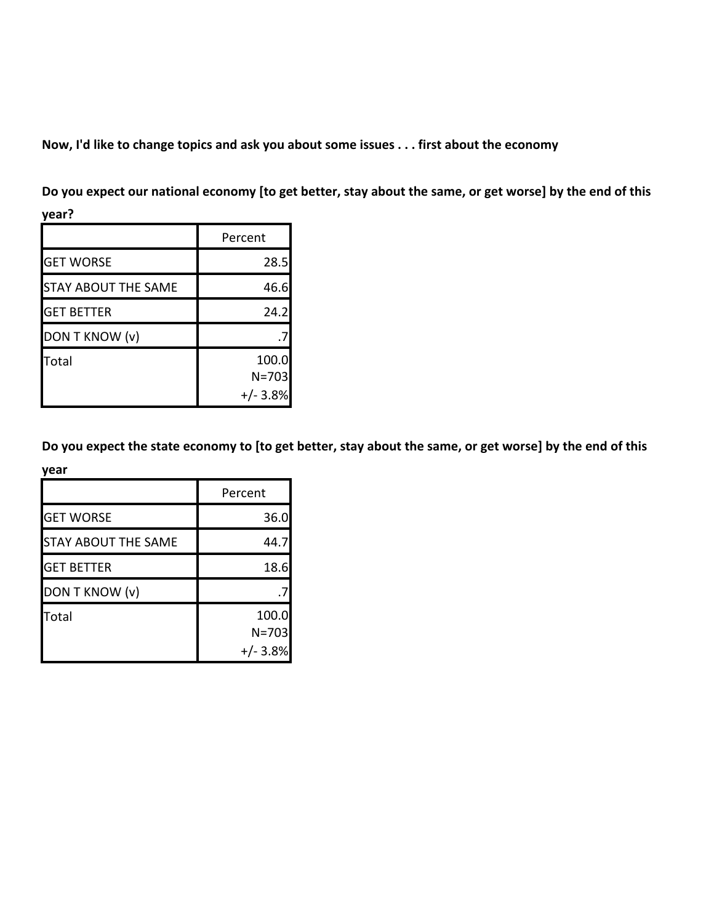Now, I'd like to change topics and ask you about some issues . . . first about the economy

Do you expect our national economy [to get better, stay about the same, or get worse] by the end of this

| ×<br>. .<br>۰.<br>× |  |
|---------------------|--|
|---------------------|--|

|                            | Percent    |
|----------------------------|------------|
| <b>GET WORSE</b>           | 28.5       |
| <b>STAY ABOUT THE SAME</b> | 46.6       |
| <b>GET BETTER</b>          | 24.2       |
| DON T KNOW (v)             |            |
| Total                      | 100.0      |
|                            | $N = 703$  |
|                            | $+/- 3.8%$ |

Do you expect the state economy to [to get better, stay about the same, or get worse] by the end of this

| year                       |            |
|----------------------------|------------|
|                            | Percent    |
| <b>GET WORSE</b>           | 36.0       |
| <b>STAY ABOUT THE SAME</b> | 44.7       |
| <b>GET BETTER</b>          | 18.6       |
| DON T KNOW (v)             |            |
| Total                      | 100.0      |
|                            | $N = 703$  |
|                            | $+/- 3.8%$ |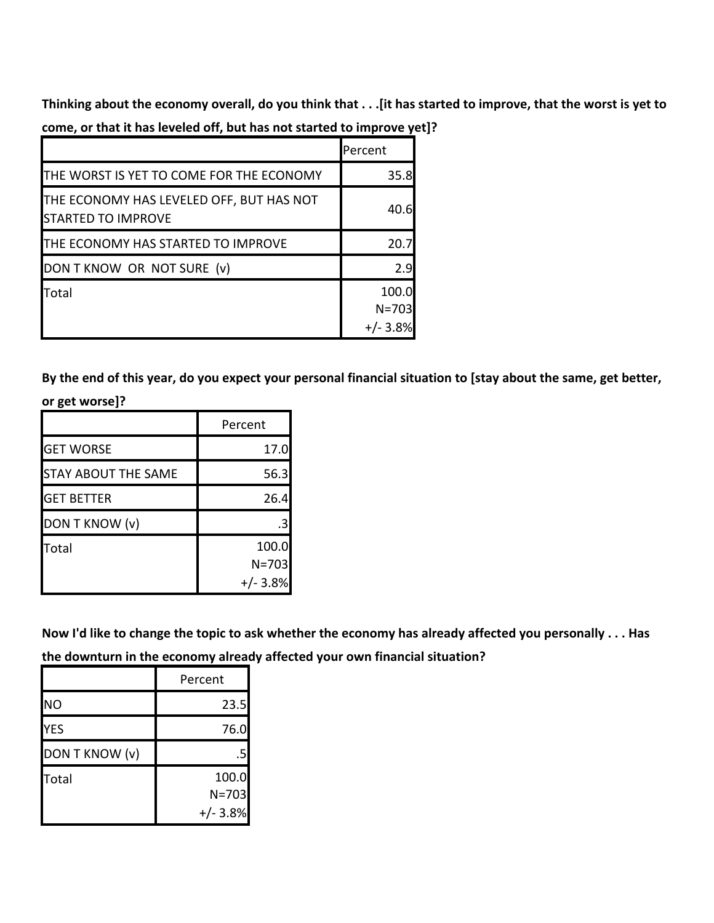Thinking about the economy overall, do you think that . . . [it has started to improve, that the worst is yet to **come,
or
that
it
has
leveled
off,
but
has
not
started
to
improve
yet]?**

|                                                                       | lPercent                         |
|-----------------------------------------------------------------------|----------------------------------|
| THE WORST IS YET TO COME FOR THE ECONOMY                              | 35.8                             |
| THE ECONOMY HAS LEVELED OFF, BUT HAS NOT<br><b>STARTED TO IMPROVE</b> | 40.6                             |
| THE ECONOMY HAS STARTED TO IMPROVE                                    | 20.7                             |
| DON T KNOW OR NOT SURE (v)                                            | 2.9                              |
| Total                                                                 | 100.0<br>$N = 703$<br>$+/- 3.8%$ |

By the end of this year, do you expect your personal financial situation to [stay about the same, get better,

 $\overline{\phantom{a}}$ 

|  | or get worse]? |
|--|----------------|
|--|----------------|

|                            | Percent   |
|----------------------------|-----------|
| <b>GET WORSE</b>           | 17.0      |
| <b>STAY ABOUT THE SAME</b> | 56.3      |
| <b>GET BETTER</b>          | 26.4      |
| DON T KNOW (v)             | .3        |
| Total                      | 100.0     |
|                            | $N = 703$ |
|                            | $+/-3.8%$ |

Now I'd like to change the topic to ask whether the economy has already affected you personally . . . Has **the
downturn
in
the
economy
already
affected
your
own
financial
situation?**

|                | Percent    |
|----------------|------------|
| <b>NO</b>      | 23.5       |
| <b>YES</b>     | 76.0       |
| DON T KNOW (v) | .5         |
| Total          | 100.0      |
|                | $N = 703$  |
|                | $+/- 3.8%$ |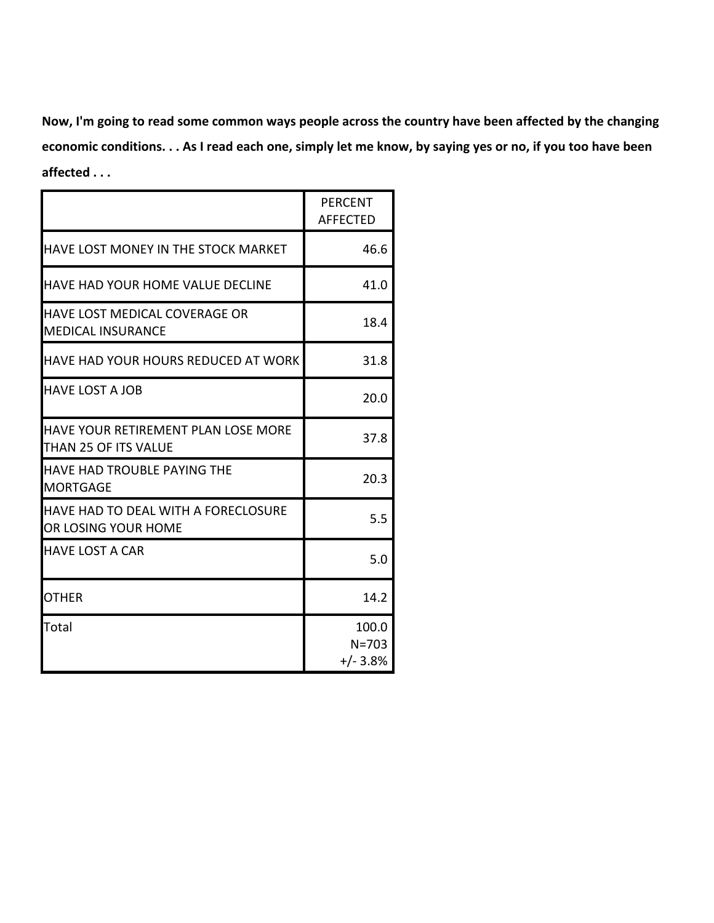Now, I'm going to read some common ways people across the country have been affected by the changing economic conditions. . . As I read each one, simply let me know, by saying yes or no, if you too have been **affected
.
.
.**

|                                                                    | <b>PERCENT</b><br><b>AFFECTED</b> |
|--------------------------------------------------------------------|-----------------------------------|
| HAVE LOST MONEY IN THE STOCK MARKET                                | 46.6                              |
| <b>HAVE HAD YOUR HOME VALUE DECLINE</b>                            | 41.0                              |
| HAVE LOST MEDICAL COVERAGE OR<br><b>MEDICAL INSURANCE</b>          | 18.4                              |
| IHAVE HAD YOUR HOURS REDUCED AT WORK                               | 31.8                              |
| <b>HAVE LOST A JOB</b>                                             | 20.0                              |
| <b>HAVE YOUR RETIREMENT PLAN LOSE MORE</b><br>THAN 25 OF ITS VALUE | 37.8                              |
| HAVE HAD TROUBLE PAYING THE<br><b>MORTGAGE</b>                     | 20.3                              |
| HAVE HAD TO DEAL WITH A FORECLOSURE<br>OR LOSING YOUR HOME         | 5.5                               |
| <b>HAVE LOST A CAR</b>                                             | 5.0                               |
| <b>OTHER</b>                                                       | 14.2                              |
| Total                                                              | 100.0<br>$N = 703$<br>$+/- 3.8%$  |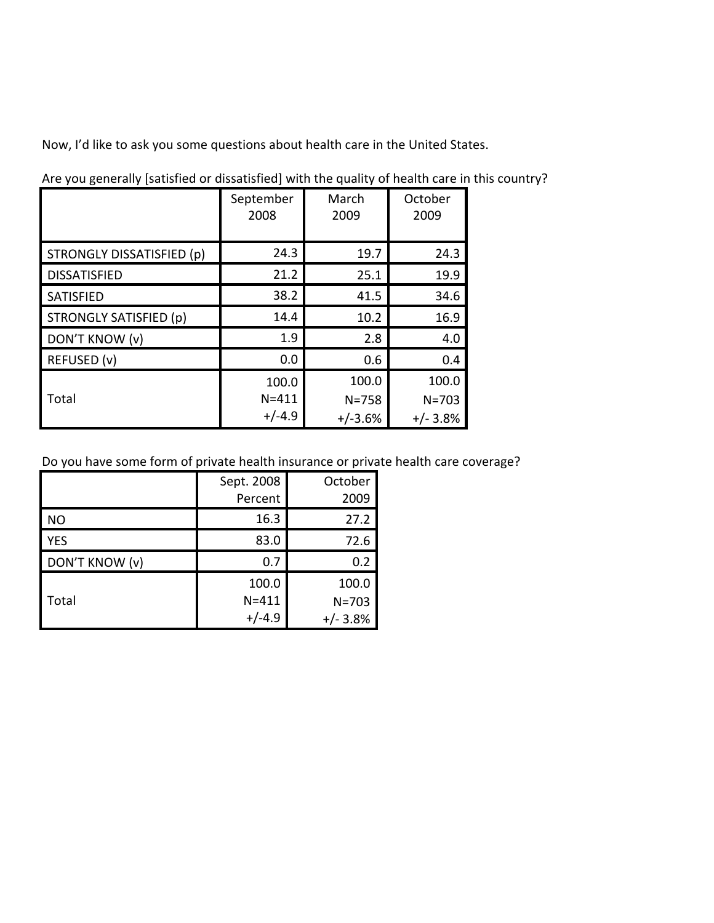Now,
I'd
like
to
ask
you
some
questions
about
health
care
in
the
United
States.

|                               | September<br>2008 | March<br>2009 | October<br>2009 |
|-------------------------------|-------------------|---------------|-----------------|
| STRONGLY DISSATISFIED (p)     | 24.3              | 19.7          | 24.3            |
| <b>DISSATISFIED</b>           | 21.2              | 25.1          | 19.9            |
| SATISFIED                     | 38.2              | 41.5          | 34.6            |
| <b>STRONGLY SATISFIED (p)</b> | 14.4              | 10.2          | 16.9            |
| DON'T KNOW (v)                | 1.9               | 2.8           | 4.0             |
| REFUSED (v)                   | 0.0               | 0.6           | 0.4             |
|                               | 100.0             | 100.0         | 100.0           |
| Total                         | $N = 411$         | $N = 758$     | $N = 703$       |
|                               | $+/-4.9$          | $+/-3.6%$     | $+/- 3.8%$      |

Are you generally [satisfied or dissatisfied] with the quality of health care in this country?

Do you have some form of private health insurance or private health care coverage?

|                | Sept. 2008 | October    |
|----------------|------------|------------|
|                | Percent    | 2009       |
| NO             | 16.3       | 27.2       |
| <b>YES</b>     | 83.0       | 72.6       |
| DON'T KNOW (v) | 0.7        | 0.2        |
|                | 100.0      | 100.0      |
| Total          | $N = 411$  | $N = 703$  |
|                | $+/-4.9$   | $+/- 3.8%$ |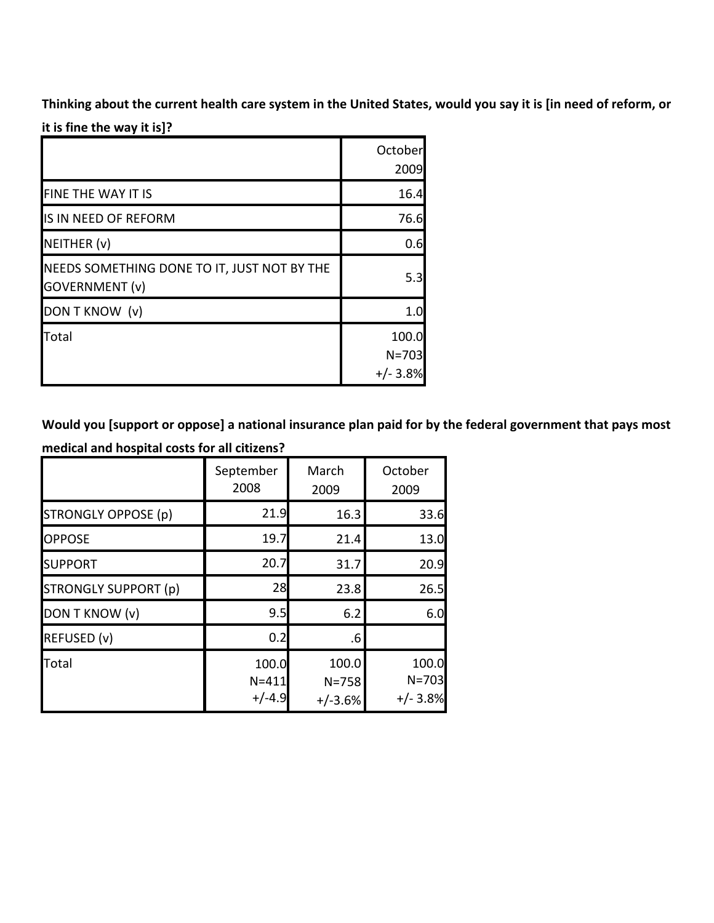Thinking about the current health care system in the United States, would you say it is [in need of reform, or

it is fine the way it is]?

|                                                                      | October<br>2009                  |
|----------------------------------------------------------------------|----------------------------------|
| FINE THE WAY IT IS                                                   | 16.4                             |
| IS IN NEED OF REFORM                                                 | 76.6                             |
| NEITHER (v)                                                          | 0.6                              |
| NEEDS SOMETHING DONE TO IT, JUST NOT BY THE<br><b>GOVERNMENT (v)</b> | 5.3                              |
| DON T KNOW (v)                                                       | 1.0                              |
| Total                                                                | 100.0<br>$N = 703$<br>$+/- 3.8%$ |

Would you [support or oppose] a national insurance plan paid for by the federal government that pays most **medical
and
hospital
costs
for
all
citizens?**

|                             | September<br>2008              | March<br>2009                   | October<br>2009                  |
|-----------------------------|--------------------------------|---------------------------------|----------------------------------|
| <b>STRONGLY OPPOSE (p)</b>  | 21.9                           | 16.3                            | 33.6                             |
| <b>OPPOSE</b>               | 19.7                           | 21.4                            | 13.0                             |
| <b>SUPPORT</b>              | 20.7                           | 31.7                            | 20.9                             |
| <b>STRONGLY SUPPORT (p)</b> | 28                             | 23.8                            | 26.5                             |
| DON T KNOW (v)              | 9.5                            | 6.2                             | 6.0                              |
| REFUSED (v)                 | 0.2                            | .6                              |                                  |
| Total                       | 100.0<br>$N = 411$<br>$+/-4.9$ | 100.0<br>$N = 758$<br>$+/-3.6%$ | 100.0<br>$N = 703$<br>$+/- 3.8%$ |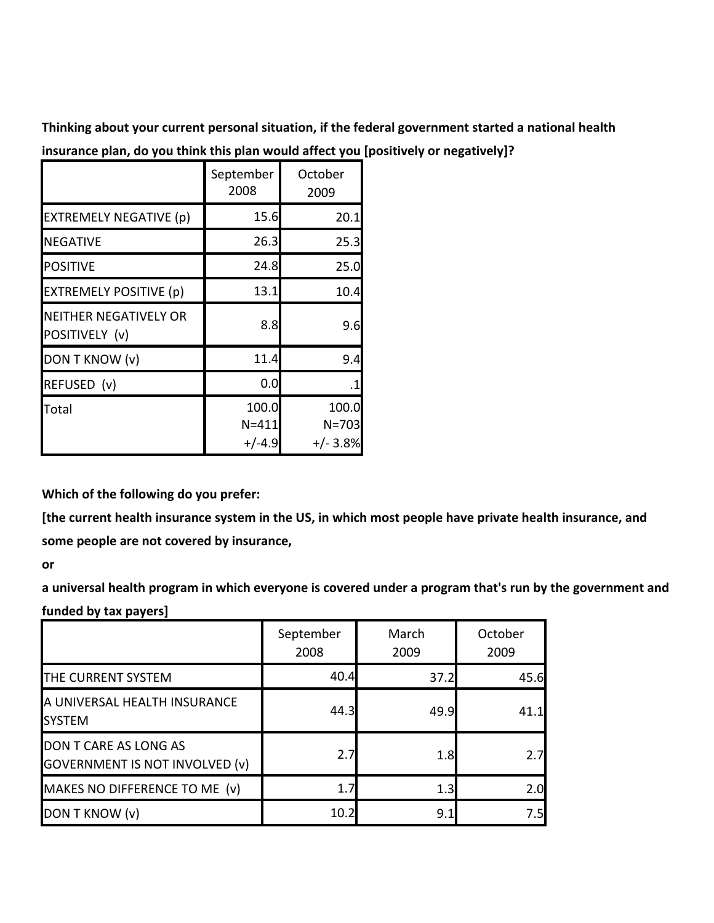Thinking about your current personal situation, if the federal government started a national health

|                                          | September<br>2008              | October<br>2009                  |
|------------------------------------------|--------------------------------|----------------------------------|
| <b>EXTREMELY NEGATIVE (p)</b>            | 15.6                           | 20.1                             |
| <b>NEGATIVE</b>                          | 26.3                           | 25.3                             |
| <b>POSITIVE</b>                          | 24.8                           | 25.0                             |
| <b>EXTREMELY POSITIVE (p)</b>            | 13.1                           | 10.4                             |
| INEITHER NEGATIVELY OR<br>POSITIVELY (v) | 8.8                            | 9.6                              |
| DON T KNOW (v)                           | 11.4                           | 9.4                              |
| REFUSED (v)                              | 0.0                            | .1                               |
| Total                                    | 100.0<br>$N = 411$<br>$+/-4.9$ | 100.0<br>$N = 703$<br>$+/- 3.8%$ |

**insurance
plan,
do
you
think
this
plan
would
affect
you
[positively
or
negatively]?**

**Which
of
the
following
do
you
prefer:**

[the current health insurance system in the US, in which most people have private health insurance, and some people are not covered by insurance,

**or** 

a universal health program in which everyone is covered under a program that's run by the government and **funded
by
tax
payers]**

|                                                                | September<br>2008 | March<br>2009 | October<br>2009 |
|----------------------------------------------------------------|-------------------|---------------|-----------------|
| THE CURRENT SYSTEM                                             | 40.4              | 37.2          | 45.6            |
| A UNIVERSAL HEALTH INSURANCE<br><b>SYSTEM</b>                  | 44.3              | 49.9          | 41.1            |
| DON T CARE AS LONG AS<br><b>GOVERNMENT IS NOT INVOLVED (v)</b> | 2.7               | 1.8           | 2.7             |
| MAKES NO DIFFERENCE TO ME (v)                                  | 1.7               | 1.3           | 2.0             |
| DON T KNOW (v)                                                 | 10.2              | 9.1           | 7.5             |